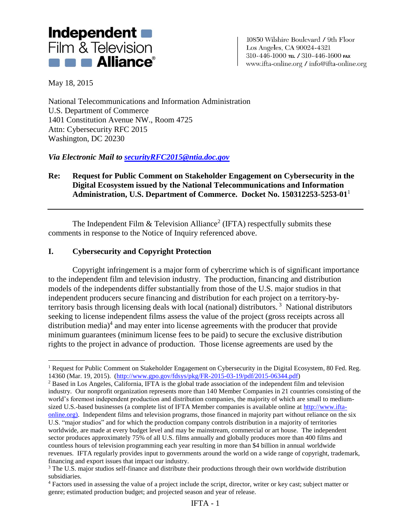

10850 Wilshire Boulevard / 9th Floor Los Angeles, CA 90024-4321 310-446-1000 тец / 310-446-1600 гах www.ifta-online.org / info@ifta-online.org

May 18, 2015

 $\overline{a}$ 

National Telecommunications and Information Administration U.S. Department of Commerce 1401 Constitution Avenue NW., Room 4725 Attn: Cybersecurity RFC 2015 Washington, DC 20230

*Via Electronic Mail to [securityRFC2015@ntia.doc.gov](mailto:securityRFC2015@ntia.doc.gov)*

## **Re: Request for Public Comment on Stakeholder Engagement on Cybersecurity in the Digital Ecosystem issued by the National Telecommunications and Information Administration, U.S. Department of Commerce. Docket No. 150312253-5253-01**<sup>1</sup>

The Independent Film  $&$  Television Alliance<sup>2</sup> (IFTA) respectfully submits these comments in response to the Notice of Inquiry referenced above.

## **I. Cybersecurity and Copyright Protection**

Copyright infringement is a major form of cybercrime which is of significant importance to the independent film and television industry. The production, financing and distribution models of the independents differ substantially from those of the U.S. major studios in that independent producers secure financing and distribution for each project on a territory-byterritory basis through licensing deals with local (national) distributors. 3 National distributors seeking to license independent films assess the value of the project (gross receipts across all distribution media) $4$  and may enter into license agreements with the producer that provide minimum guarantees (minimum license fees to be paid) to secure the exclusive distribution rights to the project in advance of production. Those license agreements are used by the

<sup>&</sup>lt;sup>1</sup> Request for Public Comment on Stakeholder Engagement on Cybersecurity in the Digital Ecosystem, 80 Fed. Reg. 14360 (Mar. 19, 2015). [\(http://www.gpo.gov/fdsys/pkg/FR-2015-03-19/pdf/2015-06344.pdf\)](http://www.gpo.gov/fdsys/pkg/FR-2015-03-19/pdf/2015-06344.pdf)

<sup>2</sup> Based in Los Angeles, California, IFTA is the global trade association of the independent film and television industry. Our nonprofit organization represents more than 140 Member Companies in 21 countries consisting of the world's foremost independent production and distribution companies, the majority of which are small to mediumsized U.S.-based businesses (a complete list of IFTA Member companies is available online at [http://www.ifta](http://www.ifta-online.org/)[online.org\)](http://www.ifta-online.org/). Independent films and television programs, those financed in majority part without reliance on the six U.S. "major studios" and for which the production company controls distribution in a majority of territories worldwide, are made at every budget level and may be mainstream, commercial or art house. The independent sector produces approximately 75% of all U.S. films annually and globally produces more than 400 films and countless hours of television programming each year resulting in more than \$4 billion in annual worldwide revenues. IFTA regularly provides input to governments around the world on a wide range of copyright, trademark, financing and export issues that impact our industry.

<sup>&</sup>lt;sup>3</sup> The U.S. major studios self-finance and distribute their productions through their own worldwide distribution subsidiaries.

<sup>4</sup> Factors used in assessing the value of a project include the script, director, writer or key cast; subject matter or genre; estimated production budget; and projected season and year of release.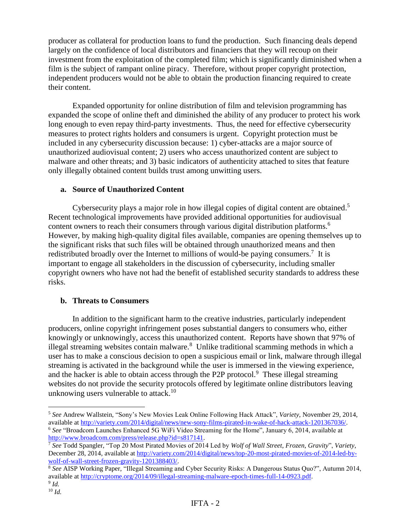producer as collateral for production loans to fund the production. Such financing deals depend largely on the confidence of local distributors and financiers that they will recoup on their investment from the exploitation of the completed film; which is significantly diminished when a film is the subject of rampant online piracy. Therefore, without proper copyright protection, independent producers would not be able to obtain the production financing required to create their content.

Expanded opportunity for online distribution of film and television programming has expanded the scope of online theft and diminished the ability of any producer to protect his work long enough to even repay third-party investments. Thus, the need for effective cybersecurity measures to protect rights holders and consumers is urgent. Copyright protection must be included in any cybersecurity discussion because: 1) cyber-attacks are a major source of unauthorized audiovisual content; 2) users who access unauthorized content are subject to malware and other threats; and 3) basic indicators of authenticity attached to sites that feature only illegally obtained content builds trust among unwitting users.

#### **a. Source of Unauthorized Content**

Cybersecurity plays a major role in how illegal copies of digital content are obtained.<sup>5</sup> Recent technological improvements have provided additional opportunities for audiovisual content owners to reach their consumers through various digital distribution platforms.<sup>6</sup> However, by making high-quality digital files available, companies are opening themselves up to the significant risks that such files will be obtained through unauthorized means and then redistributed broadly over the Internet to millions of would-be paying consumers.<sup>7</sup> It is important to engage all stakeholders in the discussion of cybersecurity, including smaller copyright owners who have not had the benefit of established security standards to address these risks.

### **b. Threats to Consumers**

In addition to the significant harm to the creative industries, particularly independent producers, online copyright infringement poses substantial dangers to consumers who, either knowingly or unknowingly, access this unauthorized content. Reports have shown that 97% of illegal streaming websites contain malware.<sup>8</sup> Unlike traditional scamming methods in which a user has to make a conscious decision to open a suspicious email or link, malware through illegal streaming is activated in the background while the user is immersed in the viewing experience, and the hacker is able to obtain access through the P2P protocol.<sup>9</sup> These illegal streaming websites do not provide the security protocols offered by legitimate online distributors leaving unknowing users vulnerable to attack. 10

 $\overline{a}$ 

<sup>5</sup> *See* Andrew Wallstein, "Sony's New Movies Leak Online Following Hack Attack", *Variety*, November 29, 2014, available at [http://variety.com/2014/digital/news/new-sony-films-pirated-in-wake-of-hack-attack-1201367036/.](http://variety.com/2014/digital/news/new-sony-films-pirated-in-wake-of-hack-attack-1201367036/) <sup>6</sup> *See* "Broadcom Launches Enhanced 5G WiFi Video Streaming for the Home", January 6, 2014, available at [http://www.broadcom.com/press/release.php?id=s817141.](http://www.broadcom.com/press/release.php?id=s817141)

<sup>7</sup> *See* Todd Spangler, "Top 20 Most Pirated Movies of 2014 Led by *Wolf of Wall Street*, *Frozen*, *Gravity*", *Variety*, December 28, 2014, available at [http://variety.com/2014/digital/news/top-20-most-pirated-movies-of-2014-led-by](http://variety.com/2014/digital/news/top-20-most-pirated-movies-of-2014-led-by-wolf-of-wall-street-frozen-gravity-1201388403/)[wolf-of-wall-street-frozen-gravity-1201388403/.](http://variety.com/2014/digital/news/top-20-most-pirated-movies-of-2014-led-by-wolf-of-wall-street-frozen-gravity-1201388403/)

<sup>8</sup> *See* AISP Working Paper, "Illegal Streaming and Cyber Security Risks: A Dangerous Status Quo?", Autumn 2014, available at [http://cryptome.org/2014/09/illegal-streaming-malware-epoch-times-full-14-0923.pdf.](http://cryptome.org/2014/09/illegal-streaming-malware-epoch-times-full-14-0923.pdf) 9 *Id.*

<sup>10</sup> *Id.*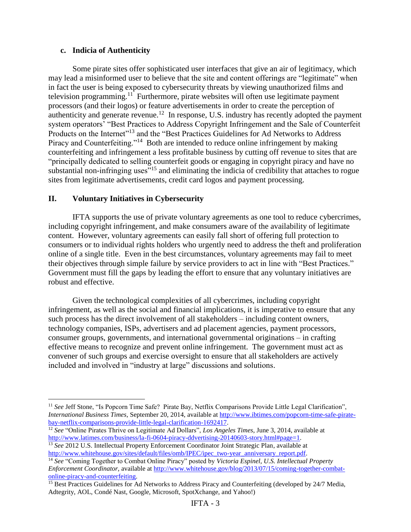#### **c. Indicia of Authenticity**

Some pirate sites offer sophisticated user interfaces that give an air of legitimacy, which may lead a misinformed user to believe that the site and content offerings are "legitimate" when in fact the user is being exposed to cybersecurity threats by viewing unauthorized films and television programming.<sup>11</sup> Furthermore, pirate websites will often use legitimate payment processors (and their logos) or feature advertisements in order to create the perception of authenticity and generate revenue.<sup>12</sup> In response, U.S. industry has recently adopted the payment system operators' "Best Practices to Address Copyright Infringement and the Sale of Counterfeit Products on the Internet<sup>"13</sup> and the "Best Practices Guidelines for Ad Networks to Address" Piracy and Counterfeiting."<sup>14</sup> Both are intended to reduce online infringement by making counterfeiting and infringement a less profitable business by cutting off revenue to sites that are "principally dedicated to selling counterfeit goods or engaging in copyright piracy and have no substantial non-infringing uses<sup>"15</sup> and eliminating the indicia of credibility that attaches to rogue sites from legitimate advertisements, credit card logos and payment processing.

#### **II. Voluntary Initiatives in Cybersecurity**

 $\overline{a}$ 

IFTA supports the use of private voluntary agreements as one tool to reduce cybercrimes, including copyright infringement, and make consumers aware of the availability of legitimate content. However, voluntary agreements can easily fall short of offering full protection to consumers or to individual rights holders who urgently need to address the theft and proliferation online of a single title. Even in the best circumstances, voluntary agreements may fail to meet their objectives through simple failure by service providers to act in line with "Best Practices." Government must fill the gaps by leading the effort to ensure that any voluntary initiatives are robust and effective.

Given the technological complexities of all cybercrimes, including copyright infringement, as well as the social and financial implications, it is imperative to ensure that any such process has the direct involvement of all stakeholders – including content owners, technology companies, ISPs, advertisers and ad placement agencies, payment processors, consumer groups, governments, and international governmental originations – in crafting effective means to recognize and prevent online infringement. The government must act as convener of such groups and exercise oversight to ensure that all stakeholders are actively included and involved in "industry at large" discussions and solutions.

- <sup>12</sup> *See* "Online Pirates Thrive on Legitimate Ad Dollars", *Los Angeles Times*, June 3, 2014, available at [http://www.latimes.com/business/la-fi-0604-piracy-ddvertising-20140603-story.html#page=1.](http://www.latimes.com/business/la-fi-0604-piracy-ddvertising-20140603-story.html#page=1)
- <sup>13</sup> *See* 2012 U.S. Intellectual Property Enforcement Coordinator Joint Strategic Plan, available at [http://www.whitehouse.gov/sites/default/files/omb/IPEC/ipec\\_two-year\\_anniversary\\_report.pdf.](http://www.whitehouse.gov/sites/default/files/omb/IPEC/ipec_two-year_anniversary_report.pdf)

<sup>&</sup>lt;sup>11</sup> See Jeff Stone, "Is Popcorn Time Safe? Pirate Bay, Netflix Comparisons Provide Little Legal Clarification", *International Business Times*, September 20, 2014, available at [http://www.ibtimes.com/popcorn-time-safe-pirate](http://www.ibtimes.com/popcorn-time-safe-pirate-bay-netflix-comparisons-provide-little-legal-clarification-1692417)[bay-netflix-comparisons-provide-little-legal-clarification-1692417.](http://www.ibtimes.com/popcorn-time-safe-pirate-bay-netflix-comparisons-provide-little-legal-clarification-1692417)

<sup>14</sup> *See* "Coming Together to Combat Online Piracy" posted by *Victoria Espinel, U.S. Intellectual Property Enforcement Coordinator,* available at [http://www.whitehouse.gov/blog/2013/07/15/coming-together-combat](http://www.whitehouse.gov/blog/2013/07/15/coming-together-combat-online-piracy-and-counterfeiting)[online-piracy-and-counterfeiting.](http://www.whitehouse.gov/blog/2013/07/15/coming-together-combat-online-piracy-and-counterfeiting)

<sup>&</sup>lt;sup>15</sup> Best Practices Guidelines for Ad Networks to Address Piracy and Counterfeiting (developed by 24/7 Media, Adtegrity, AOL, Condé Nast, Google, Microsoft, SpotXchange, and Yahoo!)